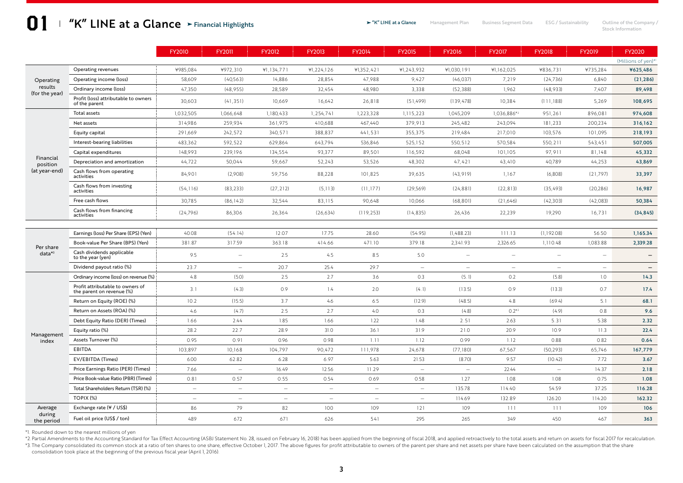# **1 "K" LINE at a Glance** > Financial Highlights > \* "K" LINE at a Glance Management Plan Business Segment Data ESG / Sustainability Outline of the Company /<br>Stock Information Financial Highlights

Stock Information

|                                        |                                                               | <b>FY2010</b> | <b>FY2011</b>            | FY2012                   | <b>FY2013</b> | FY2014                   | <b>FY2015</b>            | <b>FY2016</b> | <b>FY2017</b>            | <b>FY2018</b>            | FY2019                   | FY2020              |
|----------------------------------------|---------------------------------------------------------------|---------------|--------------------------|--------------------------|---------------|--------------------------|--------------------------|---------------|--------------------------|--------------------------|--------------------------|---------------------|
|                                        |                                                               |               |                          |                          |               |                          |                          |               |                          |                          |                          | (Millions of yen)*1 |
| Operating<br>results<br>(for the year) | Operating revenues                                            | ¥985,084      | ¥972,310                 | ¥1,134,771               | ¥1,224,126    | ¥1,352,421               | ¥1,243,932               | ¥1,030,191    | ¥1,162,025               | ¥836,731                 | ¥735,284                 | ¥625,486            |
|                                        | Operating income (loss)                                       | 58,609        | (40, 563)                | 14,886                   | 28,854        | 47,988                   | 9,427                    | (46, 037)     | 7,219                    | (24, 736)                | 6,840                    | (21, 286)           |
|                                        | Ordinary income (loss)                                        | 47,350        | (48,955)                 | 28,589                   | 32,454        | 48,980                   | 3,338                    | (52, 388)     | 1,962                    | (48,933)                 | 7,407                    | 89,498              |
|                                        | Profit (loss) attributable to owners<br>of the parent         | 30,603        | (41, 351)                | 10,669                   | 16,642        | 26,818                   | (51, 499)                | (139, 478)    | 10,384                   | (111, 188)               | 5,269                    | 108,695             |
| Financial<br>position<br>(at year-end) | Total assets                                                  | 1,032,505     | 1,066,648                | 1,180,433                | 1,254,741     | 1,223,328                | 1,115,223                | 1,045,209     | 1,036,886*2              | 951,261                  | 896,081                  | 974,608             |
|                                        | Net assets                                                    | 314,986       | 259,934                  | 361,975                  | 410,688       | 467,440                  | 379,913                  | 245,482       | 243,094                  | 181,233                  | 200,234                  | 316,162             |
|                                        | Equity capital                                                | 291,669       | 242,572                  | 340,571                  | 388,837       | 441,531                  | 355,375                  | 219,484       | 217,010                  | 103,576                  | 101,095                  | 218,193             |
|                                        | Interest-bearing liabilities                                  | 483,362       | 592,522                  | 629,864                  | 643,794       | 536,846                  | 525,152                  | 550, 512      | 570,584                  | 550, 211                 | 543,451                  | 507,005             |
|                                        | Capital expenditures                                          | 148,993       | 239,196                  | 134,554                  | 93,377        | 89,501                   | 116,592                  | 68,048        | 101,105                  | 97,911                   | 81,148                   | 45,332              |
|                                        | Depreciation and amortization                                 | 44,722        | 50,044                   | 59,667                   | 52,243        | 53,526                   | 48,302                   | 47,421        | 43,410                   | 40,789                   | 44,253                   | 43,869              |
|                                        | Cash flows from operating<br>activities                       | 84,901        | (2,908)                  | 59,756                   | 88,228        | 101,825                  | 39,635                   | (43, 919)     | 1,167                    | (6,808)                  | (21, 797)                | 33,397              |
|                                        | Cash flows from investing<br>activities                       | (54, 116)     | (83, 233)                | (27, 212)                | (5, 113)      | (11, 177)                | (29, 569)                | (24, 881)     | (22, 813)                | (35, 493)                | (20, 286)                | 16,987              |
|                                        | Free cash flows                                               | 30,785        | (86, 142)                | 32,544                   | 83,115        | 90,648                   | 10,066                   | (68, 801)     | (21,646)                 | (42,303)                 | (42,083)                 | 50,384              |
|                                        | Cash flows from financing<br>activities                       | (24, 796)     | 86,306                   | 26,364                   | (26, 634)     | (119, 253)               | (14, 835)                | 26,436        | 22,239                   | 19,290                   | 16,731                   | (34, 845)           |
|                                        |                                                               |               |                          |                          |               |                          |                          |               |                          |                          |                          |                     |
| Per share<br>$data*3$                  | Earnings (loss) Per Share (EPS) (Yen)                         | 40.08         | (54.14)                  | 12.07                    | 17.75         | 28.60                    | (54.95)                  | (1,488.23)    | 111.13                   | (1,192.08)               | 56.50                    | 1,165.34            |
|                                        | Book-value Per Share (BPS) (Yen)                              | 381.87        | 317.59                   | 363.18                   | 414.66        | 471.10                   | 379.18                   | 2,341.93      | 2,326.65                 | 1,110.48                 | 1,083.88                 | 2,339.28            |
|                                        | Cash dividends applicable<br>to the year (yen)                | 9.5           | $\frac{1}{2}$            | 2.5                      | 4.5           | 8.5                      | 5.0                      |               |                          | $\overline{\phantom{0}}$ |                          |                     |
|                                        | Dividend payout ratio (%)                                     | 23.7          | $\overline{\phantom{0}}$ | 20.7                     | 25.4          | 29.7                     | $\overline{\phantom{m}}$ |               | $\overline{\phantom{a}}$ | $\overline{\phantom{0}}$ | $\overline{\phantom{0}}$ |                     |
| Management<br>index                    | Ordinary income (loss) on revenue (%) :                       | 4.8           | (5.0)                    | 2.5                      | 2.7           | 3.6                      | 0.3                      | (5.1)         | 0.2                      | (5.8)                    | 1.0                      | 14.3                |
|                                        | Profit attributable to owners of<br>the parent on revenue (%) | 3.1           | (4.3)                    | 0.9                      | 1.4           | 2.0                      | (4.1)                    | (13.5)        | 0.9                      | (13.3)                   | 0.7                      | 17.4                |
|                                        | Return on Equity (ROE) (%)                                    | 10.2          | (15.5)                   | 3.7                      | 4.6           | 6.5                      | (12.9)                   | (48.5)        | 4.8                      | (69.4)                   | 5.1                      | 68.1                |
|                                        | Return on Assets (ROA) (%)                                    | 4.6           | (4.7)                    | 2.5                      | 2.7           | 4.0                      | 0.3                      | (4.8)         | $0.2*2$                  | (4.9)                    | 0.8                      | 9.6                 |
|                                        | Debt Equity Ratio (DER) (Times)                               | 1.66          | 2.44                     | 1.85                     | 1.66          | 1.22                     | 1.48                     | 2.51          | 2.63                     | 5.31                     | 5.38                     | 2.32                |
|                                        | Equity ratio (%)                                              | 28.2          | 22.7                     | 28.9                     | 31.0          | 36.1                     | 31.9                     | 21.0          | 20.9                     | 10.9                     | 11.3                     | 22.4                |
|                                        | Assets Turnover (%)                                           | 0.95          | 0.91                     | 0.96                     | 0.98          | 1.11                     | 1.12                     | 0.99          | 1.12                     | 0.88                     | 0.82                     | 0.64                |
|                                        | EBITDA                                                        | 103,897       | 10,168                   | 104,797                  | 90,472        | 111,978                  | 24,678                   | (77,180)      | 67,567                   | (50, 293)                | 65,746                   | 167,779             |
|                                        | EV/EBITDA (Times)                                             | 6.00          | 62.82                    | 6.28                     | 6.97          | 5.63                     | 21.53                    | (8.70)        | 9.57                     | (10.42)                  | 7.72                     | 3.67                |
|                                        | Price Earnings Ratio (PER) (Times)                            | 7.66          | $\frac{1}{2}$            | 16.49                    | 12.56         | 11.29                    | $\equiv$                 | $\frac{1}{2}$ | 22.44                    | $\equiv$                 | 14.37                    | 2.18                |
|                                        | Price Book-value Ratio (PBR) (Times)                          | 0.81          | 0.57                     | 0.55                     | 0.54          | 0.69                     | 0.58                     | 1.27          | 1.08                     | 1.08                     | 0.75                     | 1.08                |
|                                        | Total Shareholders Return (TSR) (%)                           | $\equiv$      | $\equiv$                 | $\overline{\phantom{a}}$ | $\equiv$      | $\sim$                   | $\equiv$                 | 135.78        | 114.40                   | 54.59                    | 37.25                    | 116.28              |
|                                        | TOPIX (%)                                                     | $\sim$        | $\equiv$                 | $\sim$                   | $\sim$        | $\overline{\phantom{a}}$ | $=$                      | 114.69        | 132.89                   | 126.20                   | 114.20                   | 162.32              |
| Average<br>during<br>the period        | Exchange rate (¥ / US\$)                                      | 86            | 79                       | 82                       | 100           | 109                      | 121                      | 109           | 111                      | $111$                    | 109                      | 106                 |
|                                        | Fuel oil price (US\$ / ton)                                   | 489           | 672                      | 671                      | 626           | 541                      | 295                      | 265           | 349                      | 450                      | 467                      | 363                 |

\*1. Rounded down to the nearest millions of yen

\*2. Partial Amendments to the Accounting Standard for Tax Effect Accounting (ASBJ Statement No. 28, issued on February 16, 2018) has been applied from the beginning of fiscal 2018, and applied retroactively to the total as \*3. The Company consolidated its common stock at a ratio of ten shares to one share, effective October 1, 2017. The above figures for profit attributable to owners of the parent per share and net assets per share and net a consolidation took place at the beginning of the previous fiscal year (April 1, 2016).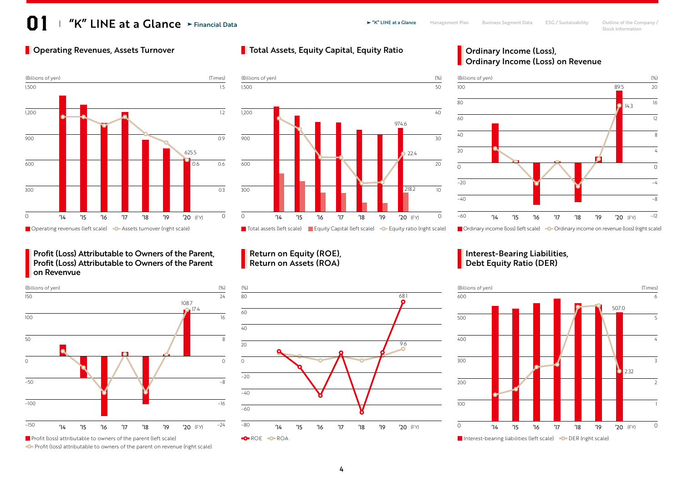# $\blacktriangleright$  "K" LINE  $\mathsf{at}$  a Glance  $\blacktriangleright$  Financial Data  $\blacktriangleright$  "K" LINE at a Glance Management Plan Business Segment Data ESG / Sustainability Outline of the Company / Financial Data

# **Operating Revenues, Assets Turnover**



### **Profit (Loss) Attributable to Owners of the Parent.** Profit (Loss) Attributable to Owners of the Parent on Revenvue



**Profit (loss) attributable to owners of the parent on revenue (right scale)** 

# **Total Assets, Equity Capital, Equity Ratio Fig. 2. September 2016 12:33 Total Assets, Equity Capital, Equity Ratio**



### Return on Equity (ROE), Return on Assets (ROA)



# **Ordinary Income (Loss) on Revenue**



■ Ordinary income (loss) (left scale) ■ O-Ordinary income on revenue (loss) (right scale)

### **Interest-Bearing Liabilities**, Debt Equity Ratio (DER)

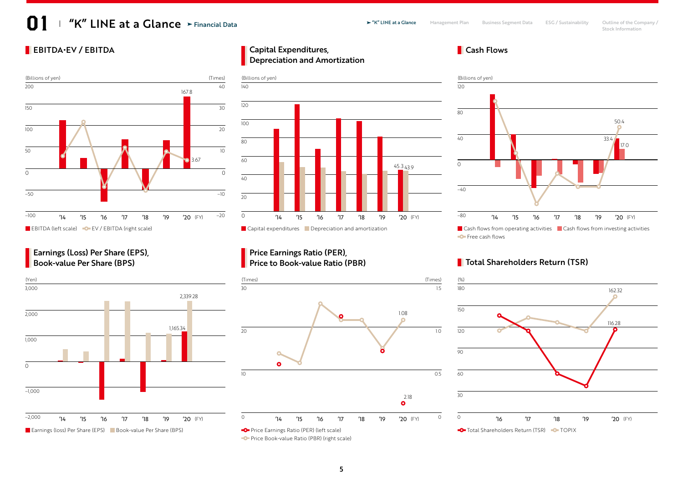# $\blacktriangleright$  "K" LINE  $\mathsf{at}$  a Glance  $\blacktriangleright$  Financial Data  $\blacktriangleright$  "K" LINE at a Glance Management Plan Business Segment Data ESG / Sustainability Outline of the Company / Financial Data



**Earnings (Loss) Per Share (EPS)**, Book-value Per Share (BPS)



### EBITDA•EV / EBITDA Cash Flows Capital Expenditures, Depreciation and Amortization



### Price Earnings Ratio (PER), Price to Book-value Ratio (PBR)





# **Total Shareholders Return (TSR)**

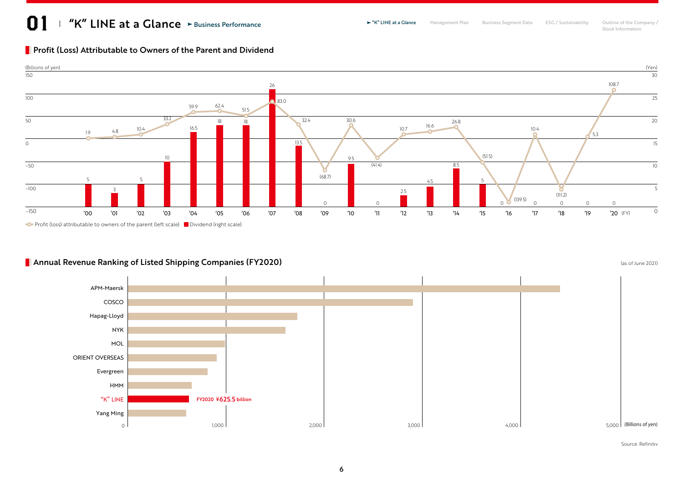# $\blacktriangleright$  "K" LINE  $\mathsf{at}$  a Glance  $\blacktriangleright$  Business Performance  $\blacktriangleright$  "K" LINE at a Glance Management Plan Business Segment Data ESG / Sustainability Outline of the Company / Stock Information Business Performance

# **Profit (Loss) Attributable to Owners of the Parent and Dividend**



# **Annual Revenue Ranking of Listed Shipping Companies (FY2020) Companies** (as of June 2021)



Source: Refinitiv